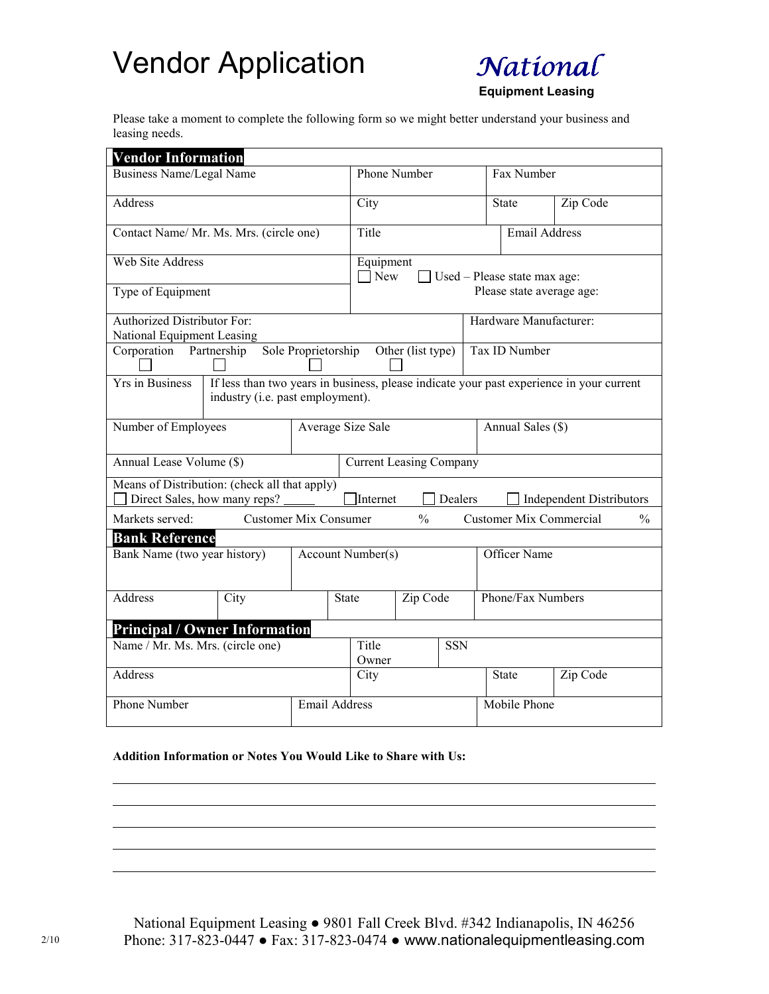## Vendor Application



Equipment Leasing

Please take a moment to complete the following form so we might better understand your business and leasing needs.

| <b>Vendor Information</b>                                                                                                                       |                                                                               |                              |                                                                |               |                |                     |                        |                                                 |  |
|-------------------------------------------------------------------------------------------------------------------------------------------------|-------------------------------------------------------------------------------|------------------------------|----------------------------------------------------------------|---------------|----------------|---------------------|------------------------|-------------------------------------------------|--|
| <b>Business Name/Legal Name</b>                                                                                                                 |                                                                               |                              | Phone Number                                                   |               |                |                     | Fax Number             |                                                 |  |
| Address                                                                                                                                         |                                                                               |                              | City                                                           |               |                |                     | State                  | Zip Code                                        |  |
| Contact Name/ Mr. Ms. Mrs. (circle one)                                                                                                         |                                                                               |                              | Title                                                          |               |                |                     | <b>Email Address</b>   |                                                 |  |
| <b>Web Site Address</b>                                                                                                                         |                                                                               |                              | Equipment<br>$\Box$ New<br>$\Box$ Used – Please state max age: |               |                |                     |                        |                                                 |  |
| Type of Equipment                                                                                                                               |                                                                               |                              | Please state average age:                                      |               |                |                     |                        |                                                 |  |
| <b>Authorized Distributor For:</b><br>National Equipment Leasing                                                                                |                                                                               |                              |                                                                |               |                |                     | Hardware Manufacturer: |                                                 |  |
| Corporation<br>Partnership                                                                                                                      | Sole Proprietorship<br>Other (list type)                                      |                              |                                                                |               | Tax ID Number  |                     |                        |                                                 |  |
| Yrs in Business<br>If less than two years in business, please indicate your past experience in your current<br>industry (i.e. past employment). |                                                                               |                              |                                                                |               |                |                     |                        |                                                 |  |
| Number of Employees<br>Average Size Sale                                                                                                        |                                                                               |                              |                                                                |               |                |                     | Annual Sales (\$)      |                                                 |  |
| Annual Lease Volume (\$)                                                                                                                        |                                                                               |                              | <b>Current Leasing Company</b>                                 |               |                |                     |                        |                                                 |  |
|                                                                                                                                                 | Means of Distribution: (check all that apply)<br>Direct Sales, how many reps? |                              | Internet                                                       |               | <b>Dealers</b> |                     |                        | <b>Independent Distributors</b>                 |  |
| Markets served:                                                                                                                                 |                                                                               | <b>Customer Mix Consumer</b> |                                                                | $\frac{0}{0}$ |                |                     |                        | <b>Customer Mix Commercial</b><br>$\frac{0}{0}$ |  |
| <b>Bank Reference</b>                                                                                                                           |                                                                               |                              |                                                                |               |                |                     |                        |                                                 |  |
| Bank Name (two year history)<br>Account Number(s)                                                                                               |                                                                               |                              |                                                                |               |                |                     | Officer Name           |                                                 |  |
| Address                                                                                                                                         | City                                                                          | <b>State</b>                 | Zip Code                                                       |               |                | Phone/Fax Numbers   |                        |                                                 |  |
|                                                                                                                                                 | <b>Principal / Owner Information</b>                                          |                              |                                                                |               |                |                     |                        |                                                 |  |
| Name / Mr. Ms. Mrs. (circle one)                                                                                                                |                                                                               |                              | Title<br>Owner                                                 |               | <b>SSN</b>     |                     |                        |                                                 |  |
| Address                                                                                                                                         |                                                                               |                              | City                                                           |               |                |                     | State                  | Zip Code                                        |  |
| <b>Phone Number</b>                                                                                                                             |                                                                               |                              | <b>Email Address</b>                                           |               |                | <b>Mobile Phone</b> |                        |                                                 |  |

## Addition Information or Notes You Would Like to Share with Us:

National Equipment Leasing ● 9801 Fall Creek Blvd. #342 Indianapolis, IN 46256 2/10 Phone: 317-823-0447 ● Fax: 317-823-0474 ● www.nationalequipmentleasing.com

l l